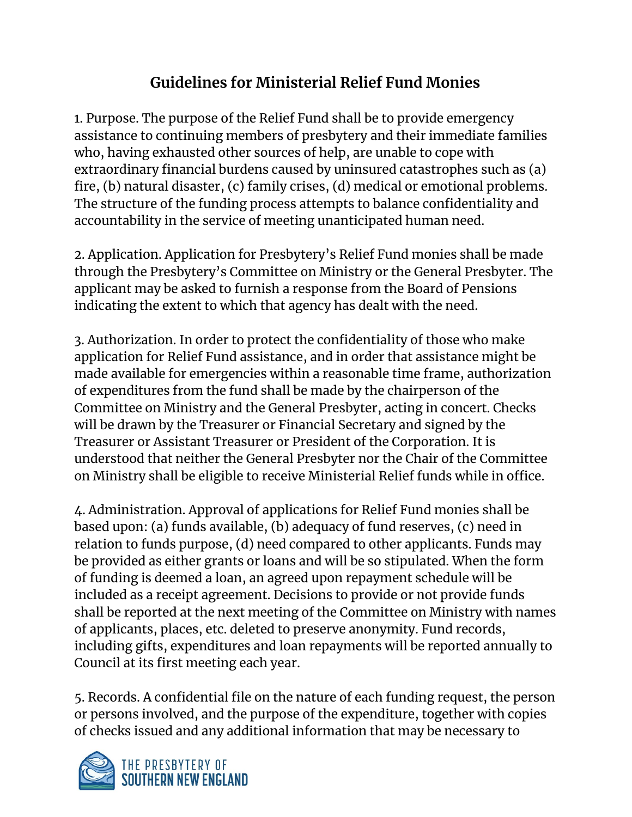## **Guidelines for Ministerial Relief Fund Monies**

1. Purpose. The purpose of the Relief Fund shall be to provide emergency assistance to continuing members of presbytery and their immediate families who, having exhausted other sources of help, are unable to cope with extraordinary financial burdens caused by uninsured catastrophes such as (a) fire, (b) natural disaster, (c) family crises, (d) medical or emotional problems. The structure of the funding process attempts to balance confidentiality and accountability in the service of meeting unanticipated human need.

2. Application. Application for Presbytery's Relief Fund monies shall be made through the Presbytery's Committee on Ministry or the General Presbyter. The applicant may be asked to furnish a response from the Board of Pensions indicating the extent to which that agency has dealt with the need.

3. Authorization. In order to protect the confidentiality of those who make application for Relief Fund assistance, and in order that assistance might be made available for emergencies within a reasonable time frame, authorization of expenditures from the fund shall be made by the chairperson of the Committee on Ministry and the General Presbyter, acting in concert. Checks will be drawn by the Treasurer or Financial Secretary and signed by the Treasurer or Assistant Treasurer or President of the Corporation. It is understood that neither the General Presbyter nor the Chair of the Committee on Ministry shall be eligible to receive Ministerial Relief funds while in office.

4. Administration. Approval of applications for Relief Fund monies shall be based upon: (a) funds available, (b) adequacy of fund reserves, (c) need in relation to funds purpose, (d) need compared to other applicants. Funds may be provided as either grants or loans and will be so stipulated. When the form of funding is deemed a loan, an agreed upon repayment schedule will be included as a receipt agreement. Decisions to provide or not provide funds shall be reported at the next meeting of the Committee on Ministry with names of applicants, places, etc. deleted to preserve anonymity. Fund records, including gifts, expenditures and loan repayments will be reported annually to Council at its first meeting each year.

5. Records. A confidential file on the nature of each funding request, the person or persons involved, and the purpose of the expenditure, together with copies of checks issued and any additional information that may be necessary to